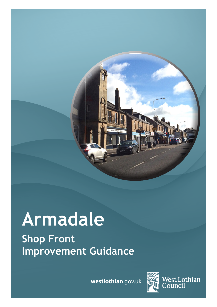

# **Armadale Shop Front Improvement Guidance**

**westlothian**.gov.uk



West Lothian<br>Council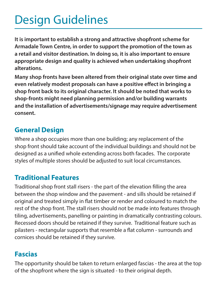# Design Guidelines

**It is important to establish a strong and attractive shopfront scheme for Armadale Town Centre, in order to support the promotion of the town as a retail and visitor destination. In doing so, it is also important to ensure appropriate design and quality is achieved when undertaking shopfront alterations.** 

**Many shop fronts have been altered from their original state over time and even relatively modest proposals can have a positive effect in bringing a shop front back to its original character. It should be noted that works to shop-fronts might need planning permission and/or building warrants and the installation of advertisements/signage may require advertisement consent.**

#### **General Design**

Where a shop occupies more than one building; any replacement of the shop front should take account of the individual buildings and should not be designed as a unified whole extending across both facades. The corporate styles of multiple stores should be adjusted to suit local circumstances.

#### **Traditional Features**

Traditional shop front stall risers - the part of the elevation filling the area between the shop window and the pavement - and sills should be retained if original and treated simply in flat timber or render and coloured to match the rest of the shop front. The stall risers should not be made into features through tiling, advertisements, panelling or painting in dramatically contrasting colours. Recessed doors should be retained if they survive. Traditional feature such as pilasters - rectangular supports that resemble a flat column - surrounds and cornices should be retained if they survive.

#### **Fascias**

The opportunity should be taken to return enlarged fascias - the area at the top of the shopfront where the sign is situated - to their original depth.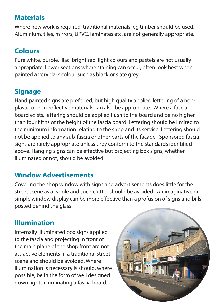#### **Materials**

Where new work is required, traditional materials, eg timber should be used. Aluminium, tiles, mirrors, UPVC, laminates etc. are not generally appropriate.

# **Colours**

Pure white, purple, lilac, bright red, light colours and pastels are not usually appropriate. Lower sections where staining can occur, often look best when painted a very dark colour such as black or slate grey.

### **Signage**

Hand painted signs are preferred, but high quality applied lettering of a nonplastic or non-reflective materials can also be appropriate. Where a fascia board exists, lettering should be applied flush to the board and be no higher than four fifths of the height of the fascia board. Lettering should be limited to the minimum information relating to the shop and its service. Lettering should not be applied to any sub-fascia or other parts of the facade. Sponsored fascia signs are rarely appropriate unless they conform to the standards identified above. Hanging signs can be effective but projecting box signs, whether illuminated or not, should be avoided.

#### **Window Advertisements**

Covering the shop window with signs and advertisements does little for the street scene as a whole and such clutter should be avoided. An imaginative or simple window display can be more effective than a profusion of signs and bills posted behind the glass.

#### **Illumination**

Internally illuminated box signs applied to the fascia and projecting in front of the main plane of the shop front are not attractive elements in a traditional street scene and should be avoided. Where illumination is necessary is should, where possible, be in the form of well designed down lights illuminating a fascia board.